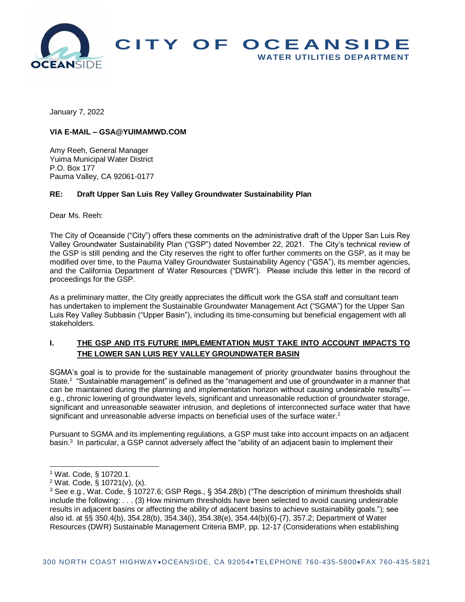

January 7, 2022

### **VIA E-MAIL – GSA@YUIMAMWD.COM**

Amy Reeh, General Manager Yuima Municipal Water District P.O. Box 177 Pauma Valley, CA 92061-0177

#### **RE: Draft Upper San Luis Rey Valley Groundwater Sustainability Plan**

Dear Ms. Reeh:

The City of Oceanside ("City") offers these comments on the administrative draft of the Upper San Luis Rey Valley Groundwater Sustainability Plan ("GSP") dated November 22, 2021. The City's technical review of the GSP is still pending and the City reserves the right to offer further comments on the GSP, as it may be modified over time, to the Pauma Valley Groundwater Sustainability Agency ("GSA"), its member agencies, and the California Department of Water Resources ("DWR"). Please include this letter in the record of proceedings for the GSP.

As a preliminary matter, the City greatly appreciates the difficult work the GSA staff and consultant team has undertaken to implement the Sustainable Groundwater Management Act ("SGMA") for the Upper San Luis Rey Valley Subbasin ("Upper Basin"), including its time-consuming but beneficial engagement with all stakeholders.

# **I. THE GSP AND ITS FUTURE IMPLEMENTATION MUST TAKE INTO ACCOUNT IMPACTS TO THE LOWER SAN LUIS REY VALLEY GROUNDWATER BASIN**

SGMA's goal is to provide for the sustainable management of priority groundwater basins throughout the State.<sup>1</sup> "Sustainable management" is defined as the "management and use of groundwater in a manner that can be maintained during the planning and implementation horizon without causing undesirable results"e.g., chronic lowering of groundwater levels, significant and unreasonable reduction of groundwater storage, significant and unreasonable seawater intrusion, and depletions of interconnected surface water that have significant and unreasonable adverse impacts on beneficial uses of the surface water.<sup>2</sup>

Pursuant to SGMA and its implementing regulations, a GSP must take into account impacts on an adjacent basin.<sup>3</sup> In particular, a GSP cannot adversely affect the "ability of an adjacent basin to implement their

l

<sup>1</sup> Wat. Code, § 10720.1.

 $2$  Wat. Code,  $\frac{2}{5}$  10721(v), (x).

<sup>3</sup> See e.g., Wat. Code, § 10727.6; GSP Regs., § 354.28(b) ("The description of minimum thresholds shall include the following: . . . (3) How minimum thresholds have been selected to avoid causing undesirable results in adjacent basins or affecting the ability of adjacent basins to achieve sustainability goals."); see also id. at §§ 350.4(b), 354.28(b), 354.34(i), 354.38(e), 354.44(b)(6)-(7), 357.2; Department of Water Resources (DWR) Sustainable Management Criteria BMP, pp. 12-17 (Considerations when establishing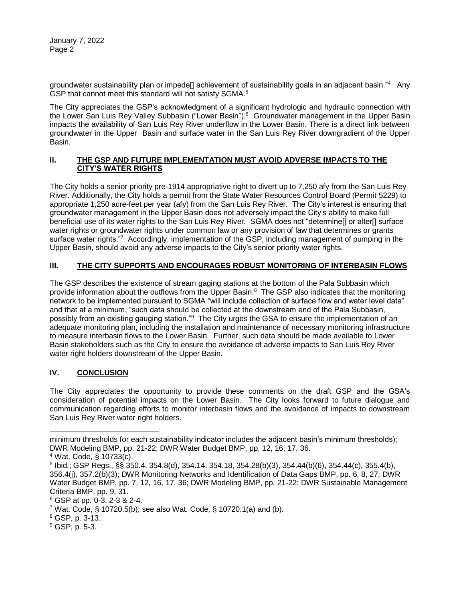January 7, 2022 Page 2

groundwater sustainability plan or impede[] achievement of sustainability goals in an adjacent basin."<sup>4</sup> Any GSP that cannot meet this standard will not satisfy SGMA.<sup>5</sup>

The City appreciates the GSP's acknowledgment of a significant hydrologic and hydraulic connection with the Lower San Luis Rey Valley Subbasin ("Lower Basin").<sup>6</sup> Groundwater management in the Upper Basin impacts the availability of San Luis Rey River underflow in the Lower Basin. There is a direct link between groundwater in the Upper Basin and surface water in the San Luis Rey River downgradient of the Upper Basin.

### **II. THE GSP AND FUTURE IMPLEMENTATION MUST AVOID ADVERSE IMPACTS TO THE CITY'S WATER RIGHTS**

The City holds a senior priority pre-1914 appropriative right to divert up to 7,250 afy from the San Luis Rey River. Additionally, the City holds a permit from the State Water Resources Control Board (Permit 5229) to appropriate 1,250 acre-feet per year (afy) from the San Luis Rey River. The City's interest is ensuring that groundwater management in the Upper Basin does not adversely impact the City's ability to make full beneficial use of its water rights to the San Luis Rey River. SGMA does not "determine[] or alter[] surface water rights or groundwater rights under common law or any provision of law that determines or grants surface water rights."<sup>7</sup> Accordingly, implementation of the GSP, including management of pumping in the Upper Basin, should avoid any adverse impacts to the City's senior priority water rights.

## **III. THE CITY SUPPORTS AND ENCOURAGES ROBUST MONITORING OF INTERBASIN FLOWS**

The GSP describes the existence of stream gaging stations at the bottom of the Pala Subbasin which provide information about the outflows from the Upper Basin.<sup>8</sup> The GSP also indicates that the monitoring network to be implemented pursuant to SGMA "will include collection of surface flow and water level data" and that at a minimum, "such data should be collected at the downstream end of the Pala Subbasin, possibly from an existing gauging station."<sup>9</sup> The City urges the GSA to ensure the implementation of an adequate monitoring plan, including the installation and maintenance of necessary monitoring infrastructure to measure interbasin flows to the Lower Basin. Further, such data should be made available to Lower Basin stakeholders such as the City to ensure the avoidance of adverse impacts to San Luis Rey River water right holders downstream of the Upper Basin.

## **IV. CONCLUSION**

The City appreciates the opportunity to provide these comments on the draft GSP and the GSA's consideration of potential impacts on the Lower Basin. The City looks forward to future dialogue and communication regarding efforts to monitor interbasin flows and the avoidance of impacts to downstream San Luis Rey River water right holders.

l

minimum thresholds for each sustainability indicator includes the adjacent basin's minimum thresholds); DWR Modeling BMP, pp. 21-22; DWR Water Budget BMP, pp. 12, 16, 17, 36.

<sup>4</sup> Wat. Code, § 10733(c).

<sup>5</sup> Ibid.; GSP Regs., §§ 350.4, 354.8(d), 354.14, 354.18, 354.28(b)(3), 354.44(b)(6), 354.44(c), 355.4(b), 356.4(j), 357.2(b)(3); DWR Monitoring Networks and Identification of Data Gaps BMP, pp. 6, 8, 27; DWR Water Budget BMP, pp. 7, 12, 16, 17, 36; DWR Modeling BMP, pp. 21-22; DWR Sustainable Management Criteria BMP, pp. 9, 31.

<sup>6</sup> GSP at pp. 0-3, 2-3 & 2-4.

 $7$  Wat. Code, § 10720.5(b); see also Wat. Code, § 10720.1(a) and (b).

<sup>8</sup> GSP, p. 3-13.

<sup>9</sup> GSP, p. 5-3.